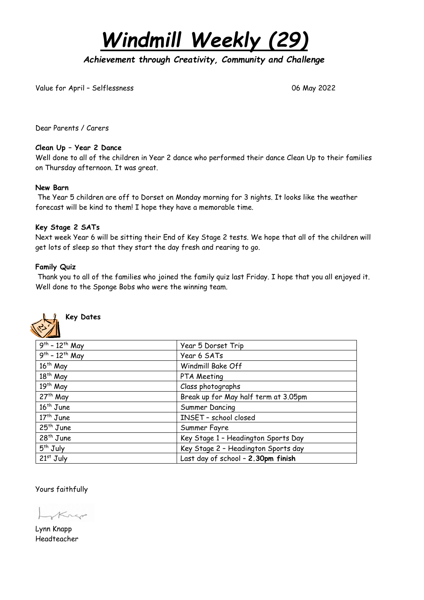*Windmill Weekly (29)*

*Achievement through Creativity, Community and Challenge* 

Value for April – Selflessness 06 May 2022

Dear Parents / Carers

## **Clean Up – Year 2 Dance**

Well done to all of the children in Year 2 dance who performed their dance Clean Up to their families on Thursday afternoon. It was great.

## **New Barn**

The Year 5 children are off to Dorset on Monday morning for 3 nights. It looks like the weather forecast will be kind to them! I hope they have a memorable time.

## **Key Stage 2 SATs**

Next week Year 6 will be sitting their End of Key Stage 2 tests. We hope that all of the children will get lots of sleep so that they start the day fresh and rearing to go.

## **Family Quiz**

Thank you to all of the families who joined the family quiz last Friday. I hope that you all enjoyed it. Well done to the Sponge Bobs who were the winning team.



**Key Dates**

| $9^{th} - 12^{th}$ May | Year 5 Dorset Trip                   |
|------------------------|--------------------------------------|
| $9^{th} - 12^{th}$ May | Year 6 SATs                          |
| 16 <sup>th</sup> May   | Windmill Bake Off                    |
| 18 <sup>th</sup> May   | PTA Meeting                          |
| 19 <sup>th</sup> May   | Class photographs                    |
| 27 <sup>th</sup> May   | Break up for May half term at 3.05pm |
| $16th$ June            | Summer Dancing                       |
| $17th$ June            | INSET - school closed                |
| $25th$ June            | Summer Fayre                         |
| $28th$ June            | Key Stage 1 - Headington Sports Day  |
| $5th$ July             | Key Stage 2 - Headington Sports day  |
| $21st$ July            | Last day of school - 2.30pm finish   |

Yours faithfully

nep

Lynn Knapp Headteacher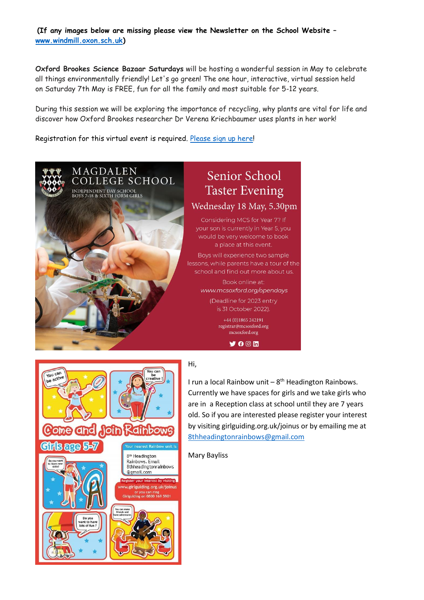**(If any images below are missing please view the Newsletter on the School Website – [www.windmill.oxon.sch.uk\)](http://www.windmill.oxon.sch.uk/)**

**Oxford Brookes Science Bazaar Saturdays** will be hosting a wonderful session in May to celebrate all things environmentally friendly! Let's go green! The one hour, interactive, virtual session held on Saturday 7th May is FREE, fun for all the family and most suitable for 5-12 years.

During this session we will be exploring the importance of recycling, why plants are vital for life and discover how Oxford Brookes researcher Dr Verena Kriechbaumer uses plants in her work!

Registration for this virtual event is required. [Please](https://brookes.zoom.us/meeting/register/tZYsf-uvpjgjH9DGoXAy6YzeM84_L4mJb-Rr) sign up here!





## Hi,

I run a local Rainbow unit  $-8$ <sup>th</sup> Headington Rainbows. Currently we have spaces for girls and we take girls who are in a Reception class at school until they are 7 years old. So if you are interested please register your interest by visiting girlguiding.org.uk/joinus or by emailing me at [8thheadingtonrainbows@gmail.com](mailto:8thheadingtonrainbows@gmail.com)

Mary Bayliss